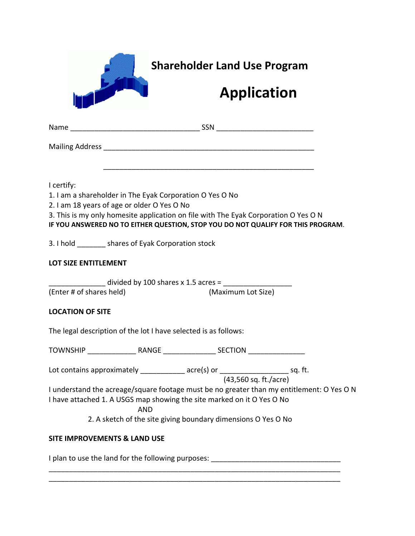|                             | <b>Shareholder Land Use Program</b>                                                                                                                                                                                                                                                |
|-----------------------------|------------------------------------------------------------------------------------------------------------------------------------------------------------------------------------------------------------------------------------------------------------------------------------|
|                             | <b>Application</b>                                                                                                                                                                                                                                                                 |
|                             |                                                                                                                                                                                                                                                                                    |
|                             |                                                                                                                                                                                                                                                                                    |
| I certify:                  | 1. I am a shareholder in The Eyak Corporation O Yes O No<br>2. I am 18 years of age or older O Yes O No<br>3. This is my only homesite application on file with The Eyak Corporation O Yes O N<br>IF YOU ANSWERED NO TO EITHER QUESTION, STOP YOU DO NOT QUALIFY FOR THIS PROGRAM. |
|                             | 3. I hold ________ shares of Eyak Corporation stock                                                                                                                                                                                                                                |
| <b>LOT SIZE ENTITLEMENT</b> |                                                                                                                                                                                                                                                                                    |
| (Enter # of shares held)    | divided by 100 shares x 1.5 acres = $\sqrt{ }$<br>(Maximum Lot Size)                                                                                                                                                                                                               |
| <b>LOCATION OF SITE</b>     |                                                                                                                                                                                                                                                                                    |
|                             | The legal description of the lot I have selected is as follows:                                                                                                                                                                                                                    |
|                             |                                                                                                                                                                                                                                                                                    |
|                             | Lot contains approximately _____________ acre(s) or _______________________ sq. ft.<br>(43,560 sq. ft./acre)                                                                                                                                                                       |
|                             | I understand the acreage/square footage must be no greater than my entitlement: O Yes O N<br>I have attached 1. A USGS map showing the site marked on it O Yes O No<br><b>AND</b>                                                                                                  |
|                             | 2. A sketch of the site giving boundary dimensions O Yes O No                                                                                                                                                                                                                      |
|                             | <b>SITE IMPROVEMENTS &amp; LAND USE</b>                                                                                                                                                                                                                                            |
|                             |                                                                                                                                                                                                                                                                                    |

\_\_\_\_\_\_\_\_\_\_\_\_\_\_\_\_\_\_\_\_\_\_\_\_\_\_\_\_\_\_\_\_\_\_\_\_\_\_\_\_\_\_\_\_\_\_\_\_\_\_\_\_\_\_\_\_\_\_\_\_\_\_\_\_\_\_\_\_\_\_\_\_